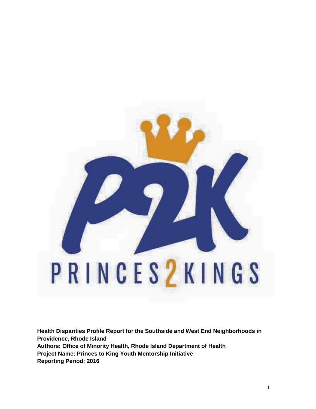

**Health Disparities Profile Report for the Southside and West End Neighborhoods in Providence, Rhode Island Authors: Office of Minority Health, Rhode Island Department of Health Project Name: Princes to King Youth Mentorship Initiative Reporting Period: 2016**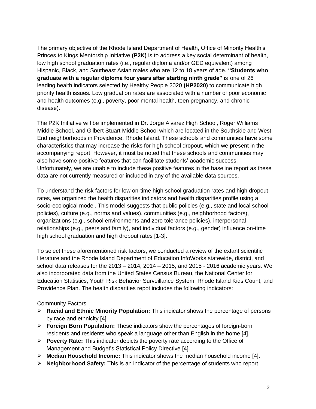The primary objective of the Rhode Island Department of Health, Office of Minority Health's Princes to Kings Mentorship Initiative **(P2K)** is to address a key social determinant of health, low high school graduation rates (i.e., regular diploma and/or GED equivalent) among Hispanic, Black, and Southeast Asian males who are 12 to 18 years of age. **"Students who graduate with a regular diploma four years after starting ninth grade"** is one of 26 leading health indicators selected by Healthy People 2020 **(HP2020)** to communicate high priority health issues. Low graduation rates are associated with a number of poor economic and health outcomes (e.g., poverty, poor mental health, teen pregnancy, and chronic disease).

The P2K Initiative will be implemented in Dr. Jorge Alvarez High School, Roger Williams Middle School, and Gilbert Stuart Middle School which are located in the Southside and West End neighborhoods in Providence, Rhode Island. These schools and communities have some characteristics that may increase the risks for high school dropout, which we present in the accompanying report. However, it must be noted that these schools and communities may also have some positive features that can facilitate students' academic success. Unfortunately, we are unable to include these positive features in the baseline report as these data are not currently measured or included in any of the available data sources.

To understand the risk factors for low on-time high school graduation rates and high dropout rates, we organized the health disparities indicators and health disparities profile using a socio-ecological model. This model suggests that public policies (e.g., state and local school policies), culture (e.g., norms and values), communities (e.g., neighborhood factors), organizations (e.g., school environments and zero tolerance policies), interpersonal relationships (e.g., peers and family), and individual factors (e.g., gender) influence on-time high school graduation and high dropout rates [1-3].

To select these aforementioned risk factors, we conducted a review of the extant scientific literature and the Rhode Island Department of Education InfoWorks statewide, district, and school data releases for the  $2013 - 2014$ ,  $2014 - 2015$ , and  $2015 - 2016$  academic years. We also incorporated data from the United States Census Bureau, the National Center for Education Statistics, Youth Risk Behavior Surveillance System, Rhode Island Kids Count, and Providence Plan. The health disparities repot includes the following indicators:

#### Community Factors

- **Racial and Ethnic Minority Population:** This indicator shows the percentage of persons by race and ethnicity [4].
- **Foreign Born Population:** These indicators show the percentages of foreign-born residents and residents who speak a language other than English in the home [4].
- **Poverty Rate:** This indicator depicts the poverty rate according to the Office of Management and Budget's Statistical Policy Directive [4].
- **Median Household Income:** This indicator shows the median household income [4].
- **Neighborhood Safety:** This is an indicator of the percentage of students who report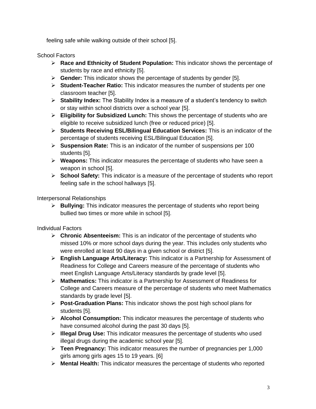feeling safe while walking outside of their school [5].

School Factors

- **Race and Ethnicity of Student Population:** This indicator shows the percentage of students by race and ethnicity [5].
- **Gender:** This indicator shows the percentage of students by gender [5].
- **Student-Teacher Ratio:** This indicator measures the number of students per one classroom teacher [5].
- **Stability Index:** The Stability Index is a measure of a student's tendency to switch or stay within school districts over a school year [5].
- **Eligibility for Subsidized Lunch:** This shows the percentage of students who are eligible to receive subsidized lunch (free or reduced price) [5].
- **Students Receiving ESL/Bilingual Education Services:** This is an indicator of the percentage of students receiving ESL/Bilingual Education [5].
- **Suspension Rate:** This is an indicator of the number of suspensions per 100 students [5].
- **Weapons:** This indicator measures the percentage of students who have seen a weapon in school [5].
- **School Safety:** This indicator is a measure of the percentage of students who report feeling safe in the school hallways [5].

Interpersonal Relationships

 **Bullying:** This indicator measures the percentage of students who report being bullied two times or more while in school [5].

Individual Factors

- **Chronic Absenteeism:** This is an indicator of the percentage of students who missed 10% or more school days during the year. This includes only students who were enrolled at least 90 days in a given school or district [5].
- **English Language Arts/Literacy:** This indicator is a Partnership for Assessment of Readiness for College and Careers measure of the percentage of students who meet English Language Arts/Literacy standards by grade level [5].
- **Mathematics:** This indicator is a Partnership for Assessment of Readiness for College and Careers measure of the percentage of students who meet Mathematics standards by grade level [5].
- **Post-Graduation Plans:** This indicator shows the post high school plans for students [5].
- **Alcohol Consumption:** This indicator measures the percentage of students who have consumed alcohol during the past 30 days [5].
- **Illegal Drug Use:** This indicator measures the percentage of students who used illegal drugs during the academic school year [5].
- **Teen Pregnancy:** This indicator measures the number of pregnancies per 1,000 girls among girls ages 15 to 19 years. [6]
- **Mental Health:** This indicator measures the percentage of students who reported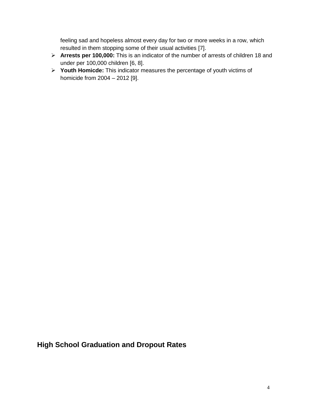feeling sad and hopeless almost every day for two or more weeks in a row, which resulted in them stopping some of their usual activities [7].

- **Arrests per 100,000:** This is an indicator of the number of arrests of children 18 and under per 100,000 children [6, 8].
- **Youth Homicde:** This indicator measures the percentage of youth victims of homicide from 2004 – 2012 [9].

**High School Graduation and Dropout Rates**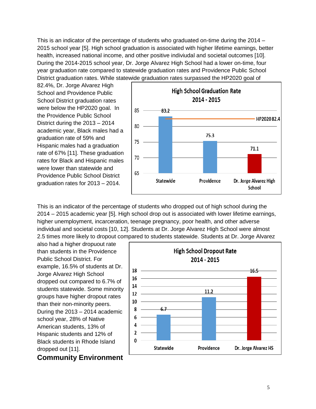This is an indicator of the percentage of students who graduated on-time during the 2014 – 2015 school year [5]. High school graduation is associated with higher lifetime earnings, better health, increased national income, and other positive indiviudal and societal outcomes [10]. During the 2014-2015 school year, Dr. Jorge Alvarez High School had a lower on-time, four year graduation rate compared to statewide graduation rates and Providence Public School District graduation rates. While statewide graduation rates surpassed the HP2020 goal of

82.4%, Dr. Jorge Alvarez High School and Providence Public School District graduation rates were below the HP2020 goal. In the Providence Public School District during the 2013 – 2014 academic year, Black males had a graduation rate of 59% and Hispanic males had a graduation rate of 67% [11]. These graduation rates for Black and Hispanic males were lower than statewide and Providence Public School District graduation rates for 2013 – 2014.



This is an indicator of the percentage of students who dropped out of high school during the 2014 – 2015 academic year [5]. High school drop out is associated with lower lifetime earnings, higher unemployment, incarceration, teenage pregnancy, poor health, and other adverse individual and societal costs [10, 12]. Students at Dr. Jorge Alvarez High School were almost 2.5 times more likely to dropout compared to students statewide. Students at Dr. Jorge Alvarez

also had a higher dropuout rate than students in the Providence Public School District. For example, 16.5% of students at Dr. Jorge Alvarez High School dropped out compared to 6.7% of students statewide. Some minority groups have higher dropout rates than their non-minority peers. During the 2013 – 2014 academic school year, 28% of Native American students, 13% of Hispanic students and 12% of Black students in Rhode Island dropped out [11].



**Community Environment**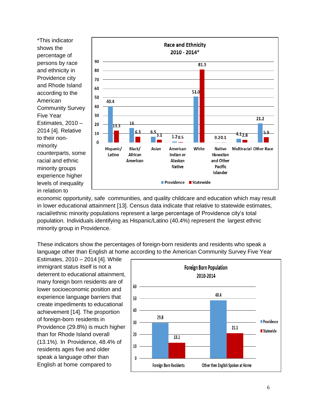\*This indicator shows the percentage of persons by race and ethnicity in Providence city and Rhode Island according to the American Community Survey Five Year Estimates, 2010 – 2014 [4]. Relative to their nonminority counterparts, some racial and ethnic minority groups experience higher levels of inequality in relation to



economic opportunity, safe communities, and quality childcare and education which may result in lower educational attainment [13]. Census data indicate that relative to statewide estimates, racial/ethnic minority populations represent a large percentage of Providence city's total population. Individuals identifying as Hispanic/Latino (40.4%) represent the largest ethnic minority group in Providence.

These indicators show the percentages of foreign-born residents and residents who speak a language other than English at home according to the American Community Survey Five Year

Estimates, 2010 – 2014 [4]. While immigrant status itself is not a deterrent to educational attainment, many foreign born residents are of lower socioeconomic position and experience language barriers that create impediments to educational achievement [14]. The proportion of foreign-born residents in Providence (29.8%) is much higher than for Rhode Island overall (13.1%). In Providence, 48.4% of residents ages five and older speak a language other than English at home compared to

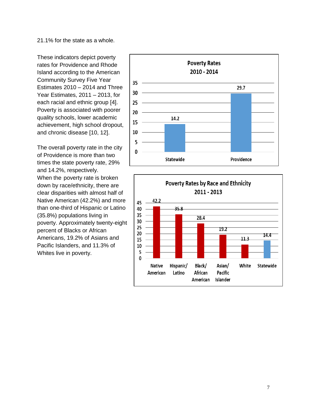21.1% for the state as a whole.

These indicators depict poverty rates for Providence and Rhode Island according to the American Community Survey Five Year Estimates 2010 – 2014 and Three Year Estimates, 2011 – 2013, for each racial and ethnic group [4]. Poverty is associated with poorer quality schools, lower academic achievement, high school dropout, and chronic disease [10, 12].

The overall poverty rate in the city of Providence is more than two times the state poverty rate, 29% and 14.2%, respectively. When the poverty rate is broken down by race/ethnicity, there are clear disparities with almost half of Native American (42.2%) and more than one -third of Hispanic or Latino (35.8%) populations living in poverty. Approximately twenty -eight percent of Blacks or African Americans, 19.2% of Asians and Pacific Islanders, and 11.3% of Whites live in poverty.



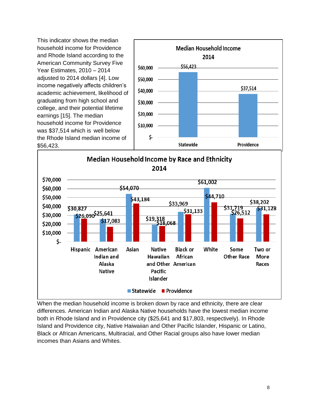This indicator shows the median household income for Providence and Rhode Island according to the American Community Survey Five Year Estimates, 2010 – 2014 adjusted to 2014 dollars [4]. Low income negatively affects children's academic achievement, likelihood of graduating from high school and college, and their potential lifetime earnings [15]. The median household income for Providence was \$37,514 which is well below the Rhode Island median income of \$56,423.





When the median household income is broken down by race and ethnicity, there are clear differences. American Indian and Alaska Native households have the lowest median income both in Rhode Island and in Providence city (\$25,641 and \$17,803, respectively). In Rhode Island and Providence city, Native Haiwaiian and Other Pacific Islander, Hispanic or Latino, Black or African Americans, Multiracial, and Other Racial groups also have lower median incomes than Asians and Whites.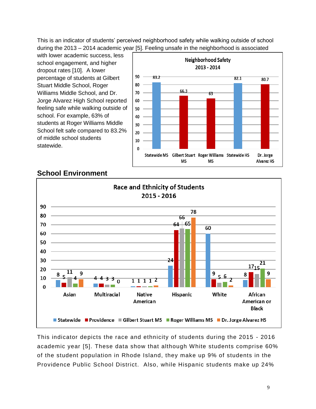This is an indicator of students' perceived neighborhood safety while walking outside of school during the 2013 – 2014 academic year [5]. Feeling unsafe in the neighborhood is associated

with lower academic success, less school engagement, and higher dropout rates [10]. A lower percentage of students at Gilbert Stuart Middle School, Roger Williams Middle School, and Dr. Jorge Alvarez High School reported feeling safe while walking outside of school. For example, 63% of students at Roger Williams Middle School felt safe compared to 83.2% of middle school students statewide.



## **School Environment**



This indicator depicts the race and ethnicity of students during the 2015 - 2016 academic year [5]. These data show that although White students comprise 60% of the student population in Rhode Island, they make up 9% of students in the Providence Public School District. Also, while Hispanic students make up 24%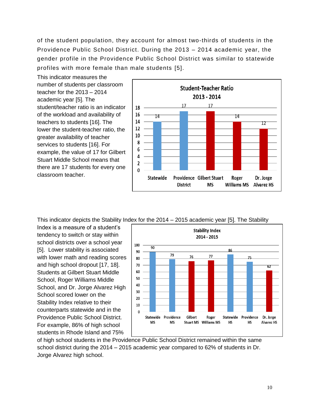of the student population, they account for almost two-thirds of students in the Providence Public School District. During the 2013 – 2014 academic year, the gender profile in the Providence Public School District was similar to statewide profiles with more female than male students [5].

This indicator measures the number of students per classroom teacher for the 2013 – 2014 academic year [5]. The student/teacher ratio is an indicator of the workload and availability of teachers to students [16]. The lower the student-teacher ratio, the greater availability of teacher services to students [16]. For example, the value of 17 for Gilbert Stuart Middle School means that there are 17 students for every one classroom teacher.



This indicator depicts the Stability Index for the 2014 – 2015 academic year [5]. The Stability

Index is a measure of a student's tendency to switch or stay within school districts over a school year [5]. Lower stability is associated with lower math and reading scores and high school dropout [17, 18]. Students at Gilbert Stuart Middle School, Roger Williams Middle School, and Dr. Jorge Alvarez High School scored lower on the Stability Index relative to their counterparts statewide and in the Providence Public School District. For example, 86% of high school students in Rhode Island and 75%



of high school students in the Providence Public School District remained within the same school district during the 2014 – 2015 academic year compared to 62% of students in Dr. Jorge Alvarez high school.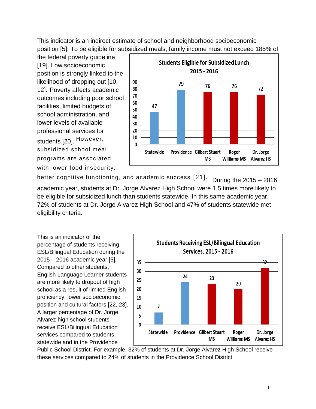This indicator is an indirect estimate of school and neighborhood socioeconomic position [5]. To be eligible for subsidized meals, family income must not exceed 185% of

the federal poverty guideline [19]. Low socioeconomic position is strongly linked to the likelihood of dropping out [10, 12]. Poverty affects academic outcomes including poor school facilities, limited budgets of school administration, and lower levels of available professional services for students [20]. <sup>However,</sup> subsidized school meal programs are associated with lower food insecurity,



better cognitive functioning, and academic success [21]. During the 2015 - 2016 academic year, students at Dr. Jorge Alvarez High School were 1.5 times more likely to be eligible for subsidized lunch than students statewide. In this same academic year, 72% of students at Dr. Jorge Alvarez High School and 47% of students statewide met eligibility criteria.

This is an indicator of the percentage of students receiving ESL/Bilingual Education during the 2015 – 2016 academic year [5]. Compared to other students, English Language Learner students are more likely to dropout of high school as a result of limited English proficiency, lower socioeconomic position and cultural factors [22, 23]. A larger percentage of Dr. Jorge Alvarez high school students receive ESL/Bilingual Education services compared to students statewide and in the Providence



Public School District. For example, 32% of students at Dr. Jorge Alvarez High School receive these services compared to 24% of students in the Providence School District.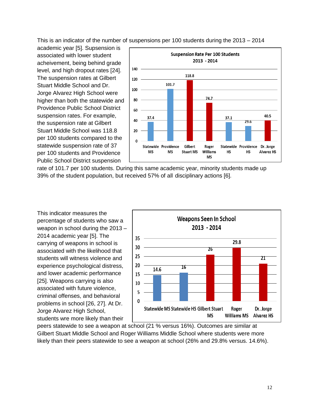This is an indicator of the number of suspensions per 100 students during the 2013 – 2014

academic year [5]. Supsension is associated with lower student acheivement, being behind grade level, and high dropout rates [24]. The suspension rates at Gilbert Stuart Middle School and Dr. Jorge Alvarez High School were higher than both the statewide and Providence Public School District suspension rates. For example, the suspension rate at Gilbert Stuart Middle School was 118.8 per 100 students compared to the statewide suspension rate of 37 per 100 students and Providence Public School District suspension



rate of 101.7 per 100 students. During this same academic year, minority students made up 39% of the student population, but received 57% of all disciplinary actions [6].

This indicator measures the percentage of students who saw a weapon in school during the 2013 – 2014 academic year [5]. The carrying of weapons in school is associated with the likelihood that students will witness violence and experience psychological distress, and lower academic performance [25]. Weapons carrying is also associated with future violence, criminal offenses, and behavioral problems in school [26, 27]. At Dr. Jorge Alvarez High School, students wre more likely than their



peers statewide to see a weapon at school (21 % versus 16%). Outcomes are similar at Gilbert Stuart Middle School and Roger Williams Middle School where students were more likely than their peers statewide to see a weapon at school (26% and 29.8% versus. 14.6%).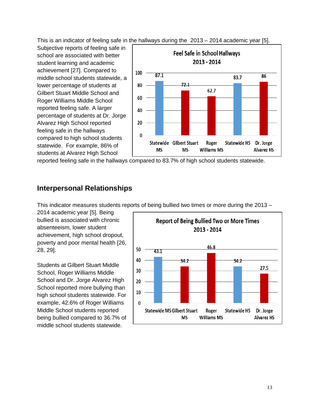This is an indicator of feeling safe in the hallways during the 2013 – 2014 academic year [5].

Subjective reports of feeling safe in school are associated with better student learning and academic achievement [27]. Compared to middle school students statewide, a lower percentage of students at Gilbert Stuart Middle School and Roger Williams Middle School reported feeling safe. A larger percentage of students at Dr. Jorge Alvarez High School reported feeling safe in the hallways compared to high school students statewide. For example, 86% of students at Alvarez High School



reported feeling safe in the hallways compared to 83.7% of high school students statewide.

### **Interpersonal Relationships**

This indicator measures students reports of being bullied two times or more during the 2013 –

2014 academic year [5]. Being bullied is associated with chronic absenteeism, lower student achievement, high school dropout, poverty and poor mental health [26, 28, 29].

Students at Gilbert Stuart Middle School, Roger Williams Middle School and Dr. Jorge Alvarez High School reported more bullying than high school students statewide. For example, 42.6% of Roger Williams Middle School students reported being bullied compared to 36.7% of middle school students statewide.

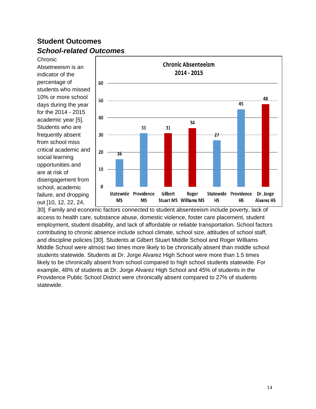# **Student Outcomes** *School-related Outcomes*

Chronic Absetneeism is an indicator of the percentage of students who missed 10% or more school days during the year for the 2014 - 2015 academic year [5]. Students who are frequently absent from school miss critical academic and social learning opportunities and are at risk of disengagement from school, academic failure, and dropping out [10, 12, 22, 24,



30]. Family and economic factors connected to student absenteeism include poverty, lack of access to health care, substance abuse, domestic violence, foster care placement, student employment, student disability, and lack of affordable or reliable transportation. School factors contributing to chronic absence include school climate, school size, attitudes of school staff, and discipline policies [30]. Students at Gilbert Stuart Middle School and Roger Williams Middle School were almost two times more likely to be chronically absent than middle school students statewide. Students at Dr. Jorge Alvarez High School were more than 1.5 times likely to be chronically absent from school compared to high school students statewide. For example, 48% of students at Dr. Jorge Alvarez High School and 45% of students in the Providence Public School District were chronically absent compared to 27% of students statewide.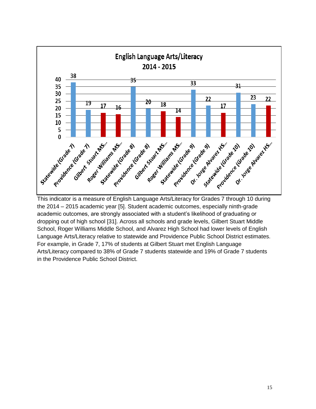

This indicator is a measure of English Language Arts/Literacy for Grades 7 through 10 during the 2014 – 2015 academic year [5]. Student academic outcomes, especially ninth-grade academic outcomes, are strongly associated with a student's likelihood of graduating or dropping out of high school [31]. Across all schools and grade levels, Gilbert Stuart Middle School, Roger Williams Middle School, and Alvarez High School had lower levels of English Language Arts/Literacy relative to statewide and Providence Public School District estimates. For example, in Grade 7, 17% of students at Gilbert Stuart met English Language Arts/Literacy compared to 38% of Grade 7 students statewide and 19% of Grade 7 students in the Providence Public School District.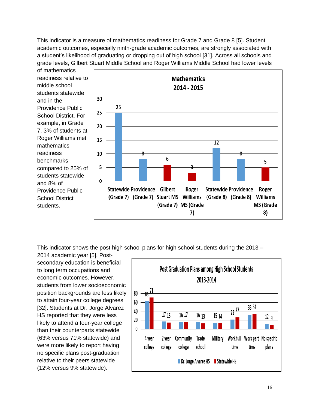This indicator is a measure of mathematics readiness for Grade 7 and Grade 8 [5]. Student academic outcomes, especially ninth-grade academic outcomes, are strongly associated with a student's likelihood of graduating or dropping out of high school [31]. Across all schools and grade levels, Gilbert Stuart Middle School and Roger Williams Middle School had lower levels

of mathematics readiness relative to middle school students statewide and in the Providence Public School District. For example, in Grade 7, 3% of students at Roger Williams met mathematics readiness benchmarks compared to 25% of students statewide and 8% of Providence Public School District students.



This indicator shows the post high school plans for high school students during the 2013 –

2014 academic year [5]. Postsecondary education is beneficial to long term occupations and economic outcomes. However, students from lower socioeconomic position backgrounds are less likely to attain four-year college degrees [32]. Students at Dr. Jorge Alvarez HS reported that they were less likely to attend a four-year college than their counterparts statewide (63% versus 71% statewide) and were more likely to report having no specific plans post-graduation relative to their peers statewide (12% versus 9% statewide).

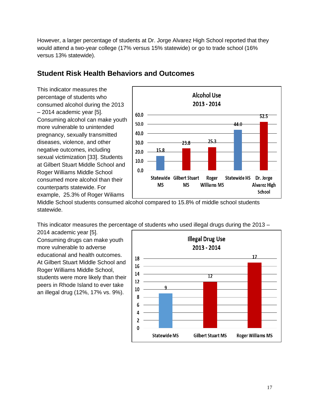However, a larger percentage of students at Dr. Jorge Alvarez High School reported that they would attend a two-year college (17% versus 15% statewide) or go to trade school (16% versus 13% statewide).

## **Student Risk Health Behaviors and Outcomes**

This indicator measures the percentage of students who consumed alcohol during the 2013 – 2014 academic year [5]. Consuming alcohol can make youth more vulnerable to unintended pregnancy, sexually transmitted diseases, violence, and other negative outcomes, including sexual victimization [33]. Students at Gilbert Stuart Middle School and Roger Williams Middle School consumed more alcohol than their counterparts statewide. For example, 25.3% of Roger Wiliams



Middle School students consumed alcohol compared to 15.8% of middle school students statewide.

This indicator measures the percentage of students who used illegal drugs during the 2013 –

2014 academic year [5]. Consuming drugs can make youth more vulnerable to adverse educational and health outcomes. At Gilbert Stuart Middle School and Roger Williams Middle School, students were more likely than their peers in Rhode Island to ever take an illegal drug (12%, 17% vs. 9%).

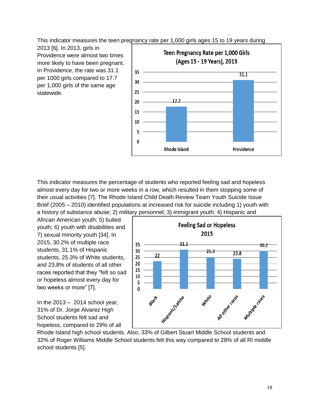This indicator measures the teen pregnancy rate per 1,000 girls ages 15 to 19 years during

2013 [6]. In 2013, girls in Providence were almost two times more likely to have been pregnant. In Providence, the rate was 31.1 per 1000 girls compared to 17.7 per 1,000 girls of the same age statewide.



This indicator measures the percentage of students who reported feeling sad and hopeless almost every day for two or more weeks in a row, which resulted in them stopping some of their usual activities [7]. The Rhode Island Child Death Review Team Youth Suicide Issue Brief (2005 – 2010) identified populations at increased risk for suicide including 1) youth with a history of substance abuse; 2) military personnel; 3) immigrant youth; 4) Hispanic and

African American youth; 5) bulied youth; 6) youth with disabilities and 7) sexual minority youth [34]. In 2015, 30.2% of multiple race students, 31.1% of Hispanic students, 25.3% of White students, and 23.8% of students of all other races reported that they "felt so sad or hopeless almost every day for two weeks or more" [7].

In the  $2013 - 2014$  school year, 31% of Dr. Jorge Alvarez High School students felt sad and hopeless, compared to 29% of all



Rhode Island high school students. Also, 33% of Gilbert Stuart Middle School students and 32% of Roger Williams Middle School students felt this way compared to 28% of all RI middle school students [5].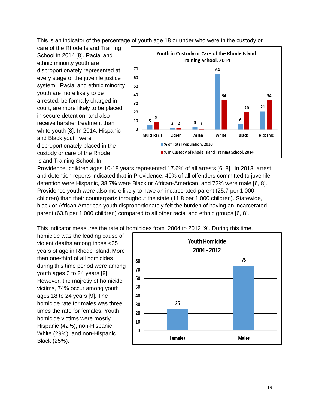This is an indicator of the percentage of youth age 18 or under who were in the custody or

care of the Rhode Island Training School in 2014 [8]. Racial and ethnic minority youth are disproportionately represented at every stage of the juvenile justice system. Racial and ethnic minority youth are more likely to be arrested, be formally charged in court, are more likely to be placed in secure detention, and also receive harsher treatment than white youth [8]. In 2014, Hispanic and Black youth were disproportionately placed in the custody or care of the Rhode Island Training School. In



Providence, children ages 10-18 years represented 17.6% of all arrests [6, 8]. In 2013, arrest and detention reports indicated that in Providence, 40% of all offenders committed to juvenile detention were Hispanic, 38.7% were Black or African-American, and 72% were male [6, 8]. Providence youth were also more likely to have an incarcerated parent (25.7 per 1,000 children) than their counterparts throughout the state (11.8 per 1,000 children). Statewide, black or African American youth disproportionately felt the burden of having an incarcerated parent (63.8 per 1,000 children) compared to all other racial and ethnic groups [6, 8].

This indicator measures the rate of homicides from 2004 to 2012 [9]. During this time,

homicide was the leading cause of violent deaths among those <25 years of age in Rhode Island. More than one-third of all homicides during this time period were among youth ages 0 to 24 years [9]. However, the majrotiy of homicide victims, 74% occur among youth ages 18 to 24 years [9]. The homicide rate for males was three times the rate for females. Youth homicide victims were mostly Hispanic (42%), non-Hispanic White (29%), and non-Hispanic Black (25%).

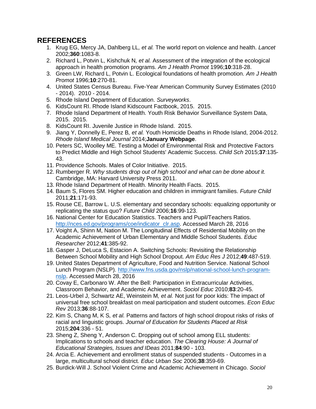## **REFERENCES**

- 1. Krug EG, Mercy JA, Dahlberg LL*, et al.* The world report on violence and health. *Lancet* 2002;**360**:1083-8.
- 2. Richard L, Potvin L, Kishchuk N*, et al.* Assessment of the integration of the ecological approach in health promotion programs. *Am J Health Promot* 1996;**10**:318-28.
- 3. Green LW, Richard L, Potvin L. Ecological foundations of health promotion. *Am J Health Promot* 1996;**10**:270-81.
- 4. United States Census Bureau. Five-Year American Community Survey Estimates (2010 - 2014). 2010 - 2014.
- 5. Rhode Island Department of Education. *Surveyworks*.
- 6. KidsCount RI. Rhode Island Kidscount Factbook, 2015. 2015.
- 7. Rhode Island Department of Health. Youth Risk Behavior Surveillance System Data, 2015. 2015.
- 8. KidsCount RI. Juvenile Justice in Rhode Island. 2015.
- 9. Jiang Y, Donnelly E, Perez B*, et al.* Youth Homicide Deaths in Rhode Island, 2004-2012. *Rhode Island Medical Journal* 2014;**January Webpage**.
- 10. Peters SC, Woolley ME. Testing a Model of Environmental Risk and Protective Factors to Predict Middle and High School Students' Academic Success. *Child Sch* 2015;**37**:135- 43.
- 11. Providence Schools. Males of Color Initiative. 2015.
- 12. Rumberger R. *Why students drop out of high school and what can be done about it.* Cambridge, MA: Harvard University Press 2011.
- 13. Rhode Island Department of Health. Minority Health Facts. 2015.
- 14. Baum S, Flores SM. Higher education and children in immigrant families. *Future Child* 2011;**21**:171-93.
- 15. Rouse CE, Barrow L. U.S. elementary and secondary schools: equalizing opportunity or replicating the status quo? *Future Child* 2006;**16**:99-123.
- 16. National Center for Education Statistics. Teachers and Pupil/Teachers Ratios. [http://nces.ed.gov/programs/coe/indicator\\_clr.asp.](http://nces.ed.gov/programs/coe/indicator_clr.asp) Accessed March 28, 2016
- 17. Voight A, Shinn M, Nation M. The Longitudinal Effects of Residential Mobility on the Academic Achievement of Urban Elementary and Middle School Students. *Educ Researcher* 2012;**41**:385-92.
- 18. Gasper J, DeLuca S, Estacion A. Switching Schools: Revisiting the Relationship Between School Mobility and High School Dropout. *Am Educ Res J* 2012;**49**:487-519.
- 19. United States Department of Agriculture, Food and Nutrition Service. National School Lunch Program (NSLP). [http://www.fns.usda.gov/nslp/national-school-lunch-program](http://www.fns.usda.gov/nslp/national-school-lunch-program-nslp)[nslp.](http://www.fns.usda.gov/nslp/national-school-lunch-program-nslp) Accessed March 28, 2016
- 20. Covay E, Carbonaro W. After the Bell: Participation in Extracurricular Activities, Classroom Behavior, and Academic Achievement. *Sociol Educ* 2010;**83**:20-45.
- 21. Leos-Urbel J, Schwartz AE, Weinstein M*, et al.* Not just for poor kids: The impact of universal free school breakfast on meal participation and student outcomes. *Econ Educ Rev* 2013;**36**:88-107.
- 22. Kim S, Chang M, K S*, et al.* Patterns and factors of high school dropout risks of risks of racial and linguistic groups. *Journal of Education for Students Placed at Risk* 2015;**204**:336 - 51.
- 23. Sheng Z, Sheng Y, Anderson C. Dropping out of school among ELL students: Implications to schools and teacher education. *The Clearing House: A Journal of Educational Strategies, Issues and IDeas* 2011;**84**:90 - 103.
- 24. Arcia E. Achievement and enrollment status of suspended students Outcomes in a large, multicultural school district. *Educ Urban Soc* 2006;**38**:359-69.
- 25. Burdick-Will J. School Violent Crime and Academic Achievement in Chicago. *Sociol*